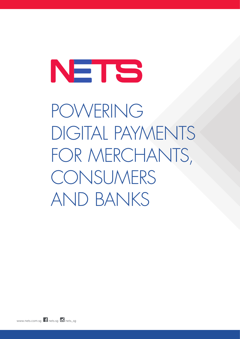# NETS

POWERING DIGITAL PAYMENTS FOR MERCHANTS, CONSUMERS AND BANKS

www.nets.com.sq  $\blacksquare$  nets.sq  $\blacksquare$  nets\_sq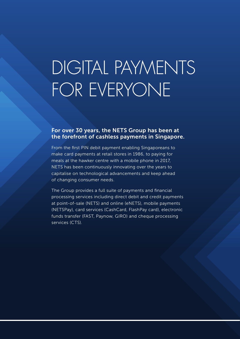## DIGITAL PAYMENTS FOR EVERYONE

#### For over 30 years, the NETS Group has been at the forefront of cashless payments in Singapore.

From the first PIN debit payment enabling Singaporeans to make card payments at retail stores in 1986, to paying for meals at the hawker centre with a mobile phone in 2017, NETS has been continuously innovating over the years to capitalise on technological advancements and keep ahead of changing consumer needs.

The Group provides a full suite of payments and financial processing services including direct debit and credit payments at point-of-sale (NETS) and online (eNETS), mobile payments (NETSPay), card services (CashCard, FlashPay card), electronic funds transfer (FAST, Paynow, GIRO) and cheque processing services (CTS).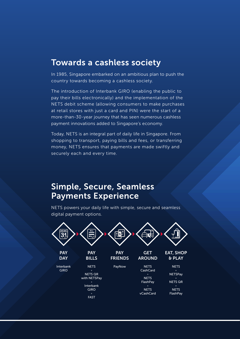## Towards a cashless society

In 1985, Singapore embarked on an ambitious plan to push the country towards becoming a cashless society.

The introduction of Interbank GIRO (enabling the public to pay their bills electronically) and the implementation of the NETS debit scheme (allowing consumers to make purchases at retail stores with just a card and PIN) were the start of a more-than-30-year journey that has seen numerous cashless payment innovations added to Singapore's economy.

Today, NETS is an integral part of daily life in Singapore. From shopping to transport, paying bills and fees, or transferring money, NETS ensures that payments are made swiftly and securely each and every time.

## Simple, Secure, Seamless Payments Experience

NETS powers your daily life with simple, secure and seamless digital payment options.

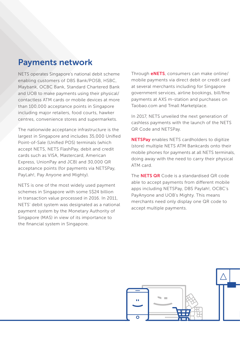## Payments network

NETS operates Singapore's national debit scheme enabling customers of DBS Bank/POSB, HSBC, Maybank, OCBC Bank, Standard Chartered Bank and UOB to make payments using their physical/ contactless ATM cards or mobile devices at more than 100,000 acceptance points in Singapore including major retailers, food courts, hawker centres, convenience stores and supermarkets.

The nationwide acceptance infrastructure is the largest in Singapore and includes 35,000 Unified Point-of-Sale (Unified POS) terminals (which accept NETS, NETS FlashPay, debit and credit cards such as VISA, Mastercard, American Express, UnionPay and JCB) and 30,000 QR acceptance points (for payments via NETSPay, PayLah!, Pay Anyone and Mighty).

NETS is one of the most widely used payment schemes in Singapore with some S\$24 billion in transaction value processed in 2016. In 2011, NETS' debit system was designated as a national payment system by the Monetary Authority of Singapore (MAS) in view of its importance to the financial system in Singapore.

Through eNETS, consumers can make online/ mobile payments via direct debit or credit card at several merchants including for Singapore government services, airline bookings, bill/fine payments at AXS m-station and purchases on Taobao.com and Tmall Marketplace.

In 2017, NETS unveiled the next generation of cashless payments with the launch of the NETS QR Code and NETSPay.

**NETSPay** enables NETS cardholders to digitize (store) multiple NETS ATM Bankcards onto their mobile phones for payments at all NETS terminals, doing away with the need to carry their physical ATM card.

The **NETS QR** Code is a standardised QR code able to accept payments from different mobile apps including NETSPay, DBS Paylah!, OCBC's PayAnyone and UOB's Mighty. This means merchants need only display one QR code to accept multiple payments.

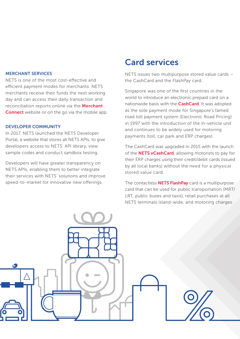#### MERCHANT SERVICES

NFTS is one of the most cost-effective and efficient payment modes for merchants. NETS merchants receive their funds the next working day and can access their daily transaction and reconciliation reports online via the Merchant **Connect** website or on the go via the mobile app.

#### DEVELOPER COMMUNITY

In 2017, NETS launched the NETS Developer Portal, a website that stores all NETS APIs, to give developers access to NETS' API library, view sample codes and conduct sandbox testing.

Developers will have greater transparency on NETS APIs, enabling them to better integrate their services with NETS' solutions and improve speed-to-market for innovative new offerings.

## Card services

NETS issues two multipurpose stored value cards – the CashCard and the FlashPay card.

Singapore was one of the first countries in the world to introduce an electronic prepaid card on a nationwide basis with the **CashCard**. It was adopted as the sole payment mode for Singapore's famed road toll payment system (Electronic Road Pricing) in 1997 with the introduction of the in-vehicle unit and continues to be widely used for motoring payments (toll, car park and ERP charges).

The CashCard was upgraded in 2015 with the launch of the **NETS vCashCard**, allowing motorists to pay for their ERP charges using their credit/debit cards (issued by all local banks) without the need for a physical stored value card.

The contactless **NETS FlashPay** card is a multipurpose card that can be used for public transportation (MRT/ LRT, public buses and taxis), retail purchases at all NETS terminals island-wide, and motoring charges.

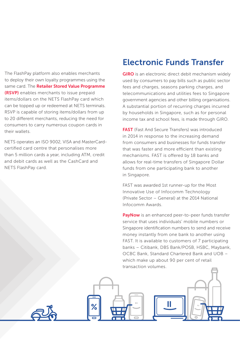The FlashPay platform also enables merchants to deploy their own loyalty programmes using the same card. The Retailer Stored Value Programme (RSVP) enables merchants to issue prepaid items/dollars on the NETS FlashPay card which can be topped up or redeemed at NETS terminals. RSVP is capable of storing items/dollars from up to 20 different merchants, reducing the need for consumers to carry numerous coupon cards in their wallets.

NETS operates an ISO 9002, VISA and MasterCardcertified card centre that personalises more than 5 million cards a year, including ATM, credit and debit cards as well as the CashCard and NETS FlashPay card.

## Electronic Funds Transfer

**GIRO** is an electronic direct debit mechanism widely used by consumers to pay bills such as public sector fees and charges, seasons parking charges, and telecommunications and utilities fees to Singapore government agencies and other billing organisations. A substantial portion of recurring charges incurred by households in Singapore, such as for personal income tax and school fees, is made through GIRO.

**FAST** (Fast And Secure Transfers) was introduced in 2014 in response to the increasing demand from consumers and businesses for funds transfer that was faster and more efficient than existing mechanisms. FAST is offered by 18 banks and allows for real-time transfers of Singapore Dollar funds from one participating bank to another in Singapore.

FAST was awarded 1st runner-up for the Most Innovative Use of Infocomm Technology (Private Sector – General) at the 2014 National Infocomm Awards.

PayNow is an enhanced peer-to-peer funds transfer service that uses individuals' mobile numbers or Singapore identification numbers to send and receive money instantly from one bank to another using FAST. It is available to customers of 7 participating banks – Citibank, DBS Bank/POSB, HSBC, Maybank, OCBC Bank, Standard Chartered Bank and UOB – which make up about 90 per cent of retail transaction volumes.

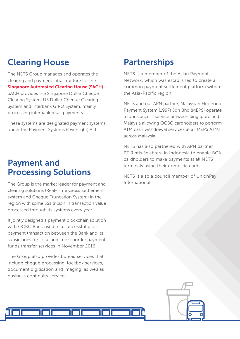## Clearing House

The NETS Group manages and operates the clearing and payment infrastructure for the Singapore Automated Clearing House (SACH). SACH provides the Singapore Dollar Cheque

Clearing System, US Dollar Cheque Clearing System and Interbank GIRO System, mainly processing interbank retail payments.

These systems are designated payment systems under the Payment Systems (Oversight) Act.

## Payment and Processing Solutions

The Group is the market leader for payment and clearing solutions (Real-Time Gross Settlement system and Cheque Truncation System) in the region with some S\$1 trillion in transaction value processed through its systems every year.

It jointly designed a payment blockchain solution with OCBC Bank used in a successful pilot payment transaction between the Bank and its subsidiaries for local and cross-border payment funds transfer services in November 2016.

The Group also provides bureau services that include cheque processing, lockbox services, document digitisation and imaging, as well as business continuity services.

## **Partnerships**

NETS is a member of the Asian Payment Network, which was established to create a common payment settlement platform within the Asia-Pacific region.

NETS and our APN partner, Malaysian Electronic Payment System (1997) Sdn Bhd (MEPS) operate a funds access service between Singapore and Malaysia allowing OCBC cardholders to perform ATM cash withdrawal services at all MEPS ATMs across Malaysia.

NETS has also partnered with APN partner PT Rintis Sejahtera in Indonesia to enable BCA cardholders to make payments at all NETS terminals using their domestic cards.

NETS is also a council member of UnionPay International.